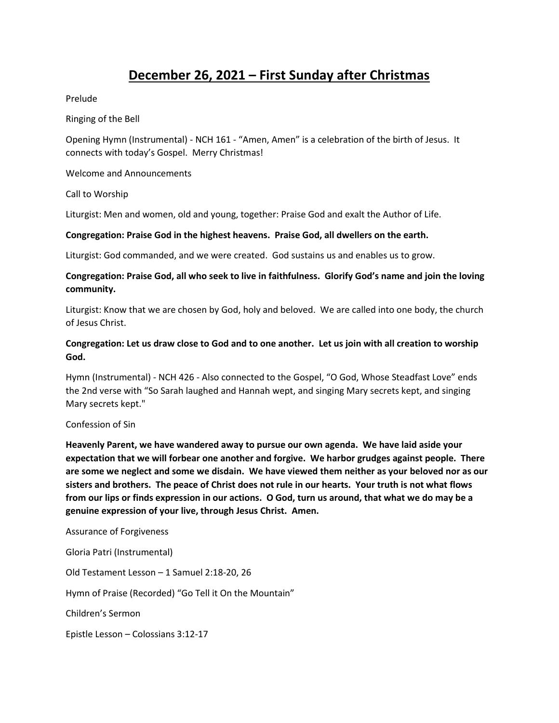# **December 26, 2021 – First Sunday after Christmas**

Prelude

Ringing of the Bell

Opening Hymn (Instrumental) - NCH 161 - "Amen, Amen" is a celebration of the birth of Jesus. It connects with today's Gospel. Merry Christmas!

Welcome and Announcements

Call to Worship

Liturgist: Men and women, old and young, together: Praise God and exalt the Author of Life.

#### **Congregation: Praise God in the highest heavens. Praise God, all dwellers on the earth.**

Liturgist: God commanded, and we were created. God sustains us and enables us to grow.

## **Congregation: Praise God, all who seek to live in faithfulness. Glorify God's name and join the loving community.**

Liturgist: Know that we are chosen by God, holy and beloved. We are called into one body, the church of Jesus Christ.

## **Congregation: Let us draw close to God and to one another. Let us join with all creation to worship God.**

Hymn (Instrumental) - NCH 426 - Also connected to the Gospel, "O God, Whose Steadfast Love" ends the 2nd verse with "So Sarah laughed and Hannah wept, and singing Mary secrets kept, and singing Mary secrets kept."

#### Confession of Sin

**Heavenly Parent, we have wandered away to pursue our own agenda. We have laid aside your expectation that we will forbear one another and forgive. We harbor grudges against people. There are some we neglect and some we disdain. We have viewed them neither as your beloved nor as our sisters and brothers. The peace of Christ does not rule in our hearts. Your truth is not what flows from our lips or finds expression in our actions. O God, turn us around, that what we do may be a genuine expression of your live, through Jesus Christ. Amen.** 

Assurance of Forgiveness

Gloria Patri (Instrumental) Old Testament Lesson – 1 Samuel 2:18-20, 26 Hymn of Praise (Recorded) "Go Tell it On the Mountain" Children's Sermon Epistle Lesson – Colossians 3:12-17